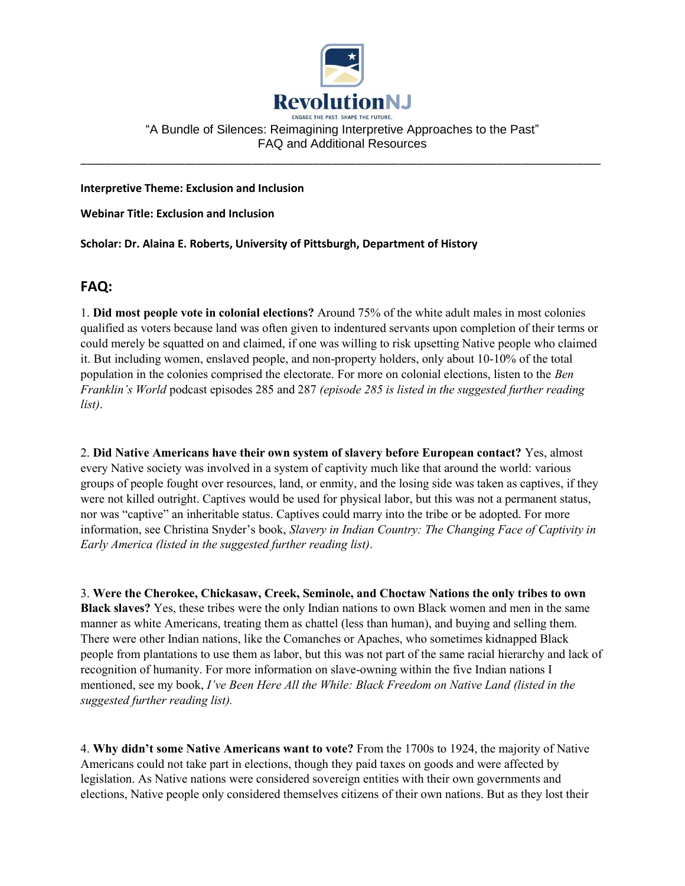

"A Bundle of Silences: Reimagining Interpretive Approaches to the Past" FAQ and Additional Resources

\_\_\_\_\_\_\_\_\_\_\_\_\_\_\_\_\_\_\_\_\_\_\_\_\_\_\_\_\_\_\_\_\_\_\_\_\_\_\_\_\_\_\_\_\_\_\_\_\_\_\_\_\_\_\_\_\_\_\_\_\_\_\_\_\_\_\_\_\_\_\_\_\_\_\_\_\_\_\_\_\_\_\_\_\_

**Interpretive Theme: Exclusion and Inclusion**

## **Webinar Title: Exclusion and Inclusion**

**Scholar: Dr. Alaina E. Roberts, University of Pittsburgh, Department of History**

## **FAQ:**

1. **Did most people vote in colonial elections?** Around 75% of the white adult males in most colonies qualified as voters because land was often given to indentured servants upon completion of their terms or could merely be squatted on and claimed, if one was willing to risk upsetting Native people who claimed it. But including women, enslaved people, and non-property holders, only about 10-10% of the total population in the colonies comprised the electorate. For more on colonial elections, listen to the *Ben Franklin's World* podcast episodes 285 and 287 *(episode 285 is listed in the suggested further reading list)*.

2. **Did Native Americans have their own system of slavery before European contact?** Yes, almost every Native society was involved in a system of captivity much like that around the world: various groups of people fought over resources, land, or enmity, and the losing side was taken as captives, if they were not killed outright. Captives would be used for physical labor, but this was not a permanent status, nor was "captive" an inheritable status. Captives could marry into the tribe or be adopted. For more information, see Christina Snyder's book, *Slavery in Indian Country: The Changing Face of Captivity in Early America (listed in the suggested further reading list)*.

3. **Were the Cherokee, Chickasaw, Creek, Seminole, and Choctaw Nations the only tribes to own Black slaves?** Yes, these tribes were the only Indian nations to own Black women and men in the same manner as white Americans, treating them as chattel (less than human), and buying and selling them. There were other Indian nations, like the Comanches or Apaches, who sometimes kidnapped Black people from plantations to use them as labor, but this was not part of the same racial hierarchy and lack of recognition of humanity. For more information on slave-owning within the five Indian nations I mentioned, see my book, *I've Been Here All the While: Black Freedom on Native Land (listed in the suggested further reading list).*

4. **Why didn't some Native Americans want to vote?** From the 1700s to 1924, the majority of Native Americans could not take part in elections, though they paid taxes on goods and were affected by legislation. As Native nations were considered sovereign entities with their own governments and elections, Native people only considered themselves citizens of their own nations. But as they lost their